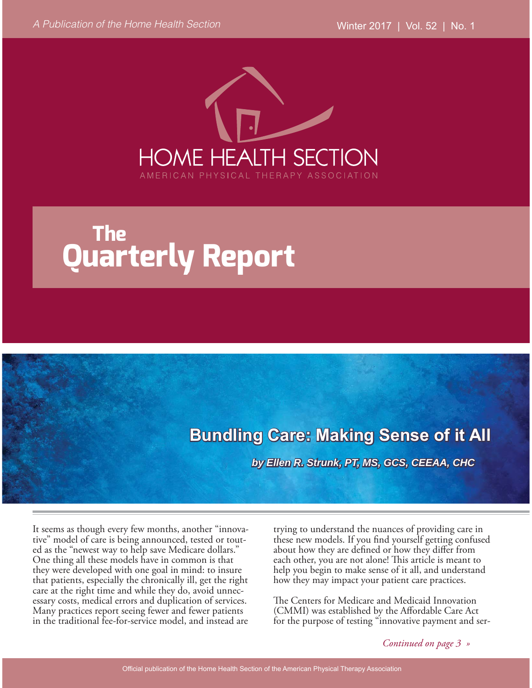

# **The Quarterly Report**

# **Bundling Care: Making Sense of it All**

*by Ellen R. Strunk, PT, MS, GCS, CEEAA, CHC*

It seems as though every few months, another "innovative" model of care is being announced, tested or touted as the "newest way to help save Medicare dollars." One thing all these models have in common is that they were developed with one goal in mind: to insure that patients, especially the chronically ill, get the right care at the right time and while they do, avoid unnecessary costs, medical errors and duplication of services. Many practices report seeing fewer and fewer patients in the traditional fee-for-service model, and instead are

trying to understand the nuances of providing care in these new models. If you find yourself getting confused about how they are defined or how they differ from each other, you are not alone! This article is meant to help you begin to make sense of it all, and understand how they may impact your patient care practices.

The Centers for Medicare and Medicaid Innovation (CMMI) was established by the Affordable Care Act for the purpose of testing "innovative payment and ser-

*Continued on page 3 »*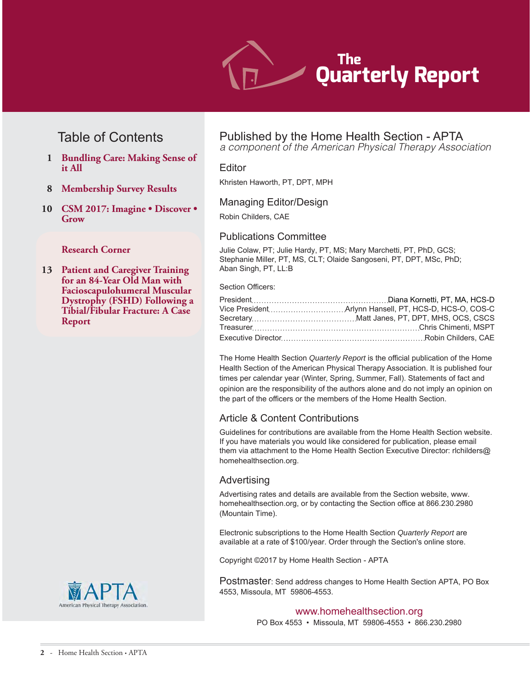

## Table of Contents

- **1 Bundling Care: Making Sense of it All**
- **8 Membership Survey Results**
- **10 CSM 2017: Imagine Discover Grow**

#### **Research Corner**

**13 Patient and Caregiver Training for an 84-Year Old Man with Facioscapulohumeral Muscular Dystrophy (FSHD) Following a Tibial/Fibular Fracture: A Case Report** 



# Published by the Home Health Section - APTA

a component of the American Physical Therapy Association

#### Editor

Khristen Haworth, PT, DPT, MPH

#### Managing Editor/Design

Robin Childers, CAE

#### Publications Committee

Julie Colaw. PT: Julie Hardy. PT. MS: Mary Marchetti. PT. PhD. GCS: Stephanie Miller, PT, MS, CLT; Olaide Sangoseni, PT, DPT, MSc, PhD; Aban Singh, PT, LL:B

#### Section Officers:

The Home Health Section Quarterly Report is the official publication of the Home Health Section of the American Physical Therapy Association. It is published four times per calendar year (Winter, Spring, Summer, Fall). Statements of fact and opinion are the responsibility of the authors alone and do not imply an opinion on the part of the officers or the members of the Home Health Section.

#### Article & Content Contributions

Guidelines for contributions are available from the Home Health Section website. If you have materials you would like considered for publication, please email them via attachment to the Home Health Section Executive Director: richilders@ homehealthsection.org.

#### Advertising

Advertising rates and details are available from the Section website, www. homehealthsection.org, or by contacting the Section office at 866.230.2980 (Mountain Time).

Electronic subscriptions to the Home Health Section Quarterly Report are available at a rate of \$100/year. Order through the Section's online store.

Copyright ©2017 by Home Health Section - APTA

Postmaster: Send address changes to Home Health Section APTA, PO Box 4553, Missoula, MT 59806-4553.

#### www.homehealthsection.org

PO Box 4553 · Missoula, MT 59806-4553 · 866.230.2980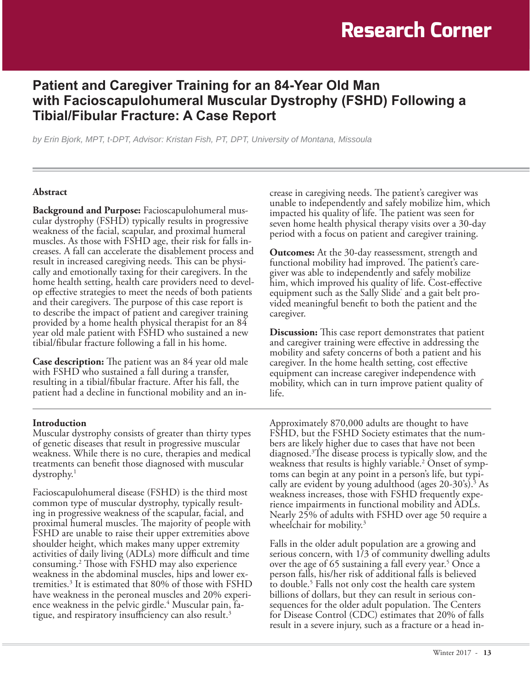# **Patient and Caregiver Training for an 84-Year Old Man**  with Facioscapulohumeral Muscular Dystrophy (FSHD) Following a **Tibial/Fibular Fracture: A Case Report**

*by Erin Bjork, MPT, t-DPT, Advisor: Kristan Fish, PT, DPT, University of Montana, Missoula*

#### Abstract

**Background and Purpose:** Facioscapulohumeral muscular dystrophy (FSHD) typically results in progressive weakness of the facial, scapular, and proximal humeral muscles. As those with FSHD age, their risk for falls increases. A fall can accelerate the disablement process and result in increased caregiving needs. This can be physically and emotionally taxing for their caregivers. In the home health setting, health care providers need to develop effective strategies to meet the needs of both patients and their caregivers. The purpose of this case report is to describe the impact of patient and caregiver training provided by a home health physical therapist for an 84 year old male patient with FSHD who sustained a new tibial/fibular fracture following a fall in his home.

**Case description:** The patient was an 84 year old male with FSHD who sustained a fall during a transfer, resulting in a tibial/fibular fracture. After his fall, the patient had a decline in functional mobility and an increase in caregiving needs. The patient's caregiver was unable to independently and safely mobilize him, which impacted his quality of life. The patient was seen for seven home health physical therapy visits over a 30-day period with a focus on patient and caregiver training.

**Outcomes:** At the 30-day reassessment, strength and functional mobility had improved. The patient's caregiver was able to independently and safely mobilize him, which improved his quality of life. Cost-effective equipment such as the Sally Slide® and a gait belt provided meaningful benefit to both the patient and the caregiver.

**Discussion:** This case report demonstrates that patient and caregiver training were effective in addressing the mobility and safety concerns of both a patient and his caregiver. In the home health setting, cost effective equipment can increase caregiver independence with mobility, which can in turn improve patient quality of life.

#### **Introduction**

Muscular dystrophy consists of greater than thirty types of genetic diseases that result in progressive muscular weakness. While there is no cure, therapies and medical treatments can benefit those diagnosed with muscular  $dystrophy.<sup>1</sup>$ 

Facioscapulohumeral disease (FSHD) is the third most common type of muscular dystrophy, typically resulting in progressive weakness of the scapular, facial, and proximal humeral muscles. The majority of people with FSHD are unable to raise their upper extremities above shoulder height, which makes many upper extremity activities of daily living (ADLs) more difficult and time consuming.2 Those with FSHD may also experience weakness in the abdominal muscles, hips and lower extremities.3 It is estimated that 80% of those with FSHD have weakness in the peroneal muscles and 20% experience weakness in the pelvic girdle.<sup>4</sup> Muscular pain, fatigue, and respiratory insufficiency can also result.<sup>3</sup>

Approximately 870,000 adults are thought to have FSHD, but the FSHD Society estimates that the numbers are likely higher due to cases that have not been diagnosed.3 The disease process is typically slow, and the weakness that results is highly variable.2 Onset of symptoms can begin at any point in a person's life, but typically are evident by young adulthood (ages 20-30's).<sup>3</sup> As weakness increases, those with FSHD frequently experience impairments in functional mobility and ADLs. Nearly 25% of adults with FSHD over age 50 require a wheelchair for mobility.<sup>3</sup>

Falls in the older adult population are a growing and serious concern, with 1/3 of community dwelling adults over the age of 65 sustaining a fall every year.<sup>5</sup> Once a person falls, his/her risk of additional falls is believed to double.<sup>5</sup> Falls not only cost the health care system billions of dollars, but they can result in serious consequences for the older adult population. The Centers for Disease Control (CDC) estimates that 20% of falls result in a severe injury, such as a fracture or a head in-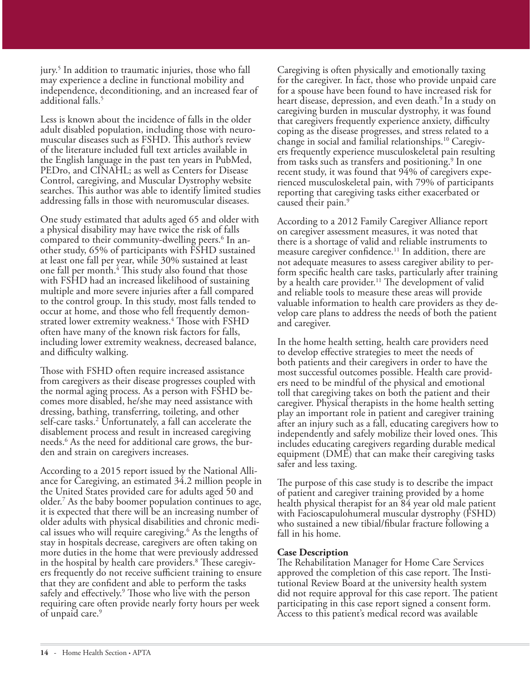jury.<sup>5</sup> In addition to traumatic injuries, those who fall may experience a decline in functional mobility and independence, deconditioning, and an increased fear of additional falls.<sup>5</sup>

Less is known about the incidence of falls in the older adult disabled population, including those with neuromuscular diseases such as FSHD. This author's review of the literature included full text articles available in the English language in the past ten years in PubMed, PEDro, and CINAHL; as well as Centers for Disease Control, caregiving, and Muscular Dystrophy website searches. This author was able to identify limited studies addressing falls in those with neuromuscular diseases.

One study estimated that adults aged 65 and older with a physical disability may have twice the risk of falls compared to their community-dwelling peers.<sup>6</sup> In another study, 65% of participants with FSHD sustained at least one fall per year, while 30% sustained at least one fall per month.<sup>4</sup> This study also found that those with FSHD had an increased likelihood of sustaining multiple and more severe injuries after a fall compared to the control group. In this study, most falls tended to occur at home, and those who fell frequently demonstrated lower extremity weakness.<sup>4</sup> Those with FSHD often have many of the known risk factors for falls, including lower extremity weakness, decreased balance, and difficulty walking.

Those with FSHD often require increased assistance from caregivers as their disease progresses coupled with the normal aging process. As a person with FSHD becomes more disabled, he/she may need assistance with dressing, bathing, transferring, toileting, and other self-care tasks.2 Unfortunately, a fall can accelerate the disablement process and result in increased caregiving needs.6 As the need for additional care grows, the burden and strain on caregivers increases.

According to a 2015 report issued by the National Alliance for Caregiving, an estimated 34.2 million people in the United States provided care for adults aged 50 and older.7 As the baby boomer population continues to age, it is expected that there will be an increasing number of older adults with physical disabilities and chronic medical issues who will require caregiving.<sup>6</sup> As the lengths of stay in hospitals decrease, caregivers are often taking on more duties in the home that were previously addressed in the hospital by health care providers.8 These caregivers frequently do not receive sufficient training to ensure that they are confident and able to perform the tasks safely and effectively.<sup>9</sup> Those who live with the person requiring care often provide nearly forty hours per week of unpaid care.<sup>9</sup>

Caregiving is often physically and emotionally taxing for the caregiver. In fact, those who provide unpaid care for a spouse have been found to have increased risk for heart disease, depression, and even death.<sup>9</sup> In a study on caregiving burden in muscular dystrophy, it was found that caregivers frequently experience anxiety, difficulty coping as the disease progresses, and stress related to a change in social and familial relationships.10 Caregivers frequently experience musculoskeletal pain resulting from tasks such as transfers and positioning.<sup>9</sup> In one recent study, it was found that 94% of caregivers experienced musculoskeletal pain, with 79% of participants reporting that caregiving tasks either exacerbated or caused their pain.<sup>9</sup>

According to a 2012 Family Caregiver Alliance report on caregiver assessment measures, it was noted that there is a shortage of valid and reliable instruments to measure caregiver confidence.<sup>11</sup> In addition, there are not adequate measures to assess caregiver ability to perform specific health care tasks, particularly after training by a health care provider.<sup>11</sup> The development of valid and reliable tools to measure these areas will provide valuable information to health care providers as they develop care plans to address the needs of both the patient and caregiver.

In the home health setting, health care providers need to develop effective strategies to meet the needs of both patients and their caregivers in order to have the most successful outcomes possible. Health care providers need to be mindful of the physical and emotional toll that caregiving takes on both the patient and their caregiver. Physical therapists in the home health setting play an important role in patient and caregiver training after an injury such as a fall, educating caregivers how to independently and safely mobilize their loved ones. This includes educating caregivers regarding durable medical equipment (DME) that can make their caregiving tasks safer and less taxing.

The purpose of this case study is to describe the impact of patient and caregiver training provided by a home health physical therapist for an 84 year old male patient with Facioscapulohumeral muscular dystrophy (FSHD) who sustained a new tibial/fibular fracture following a fall in his home.

#### **Case Description**

The Rehabilitation Manager for Home Care Services approved the completion of this case report. The Institutional Review Board at the university health system did not require approval for this case report. The patient participating in this case report signed a consent form. Access to this patient's medical record was available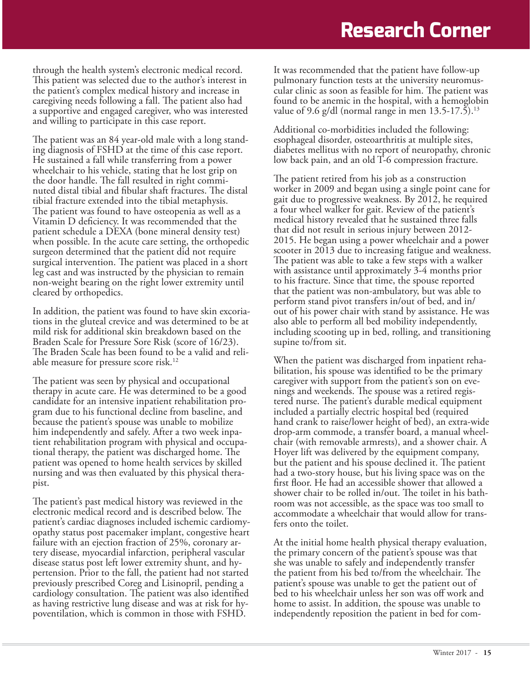through the health system's electronic medical record. This patient was selected due to the author's interest in the patient's complex medical history and increase in caregiving needs following a fall. The patient also had a supportive and engaged caregiver, who was interested and willing to participate in this case report.

The patient was an 84 year-old male with a long standing diagnosis of FSHD at the time of this case report. He sustained a fall while transferring from a power wheelchair to his vehicle, stating that he lost grip on the door handle. The fall resulted in right comminuted distal tibial and fibular shaft fractures. The distal tibial fracture extended into the tibial metaphysis. The patient was found to have osteopenia as well as a Vitamin D deficiency. It was recommended that the patient schedule a DEXA (bone mineral density test) when possible. In the acute care setting, the orthopedic surgeon determined that the patient did not require surgical intervention. The patient was placed in a short leg cast and was instructed by the physician to remain non-weight bearing on the right lower extremity until cleared by orthopedics.

In addition, the patient was found to have skin excoriations in the gluteal crevice and was determined to be at mild risk for additional skin breakdown based on the Braden Scale for Pressure Sore Risk (score of 16/23). The Braden Scale has been found to be a valid and reliable measure for pressure score risk.<sup>12</sup>

The patient was seen by physical and occupational therapy in acute care. He was determined to be a good candidate for an intensive inpatient rehabilitation program due to his functional decline from baseline, and because the patient's spouse was unable to mobilize him independently and safely. After a two week inpatient rehabilitation program with physical and occupational therapy, the patient was discharged home. The patient was opened to home health services by skilled nursing and was then evaluated by this physical therapist.

The patient's past medical history was reviewed in the electronic medical record and is described below. The patient's cardiac diagnoses included ischemic cardiomyopathy status post pacemaker implant, congestive heart failure with an ejection fraction of 25%, coronary artery disease, myocardial infarction, peripheral vascular disease status post left lower extremity shunt, and hypertension. Prior to the fall, the patient had not started previously prescribed Coreg and Lisinopril, pending a cardiology consultation. The patient was also identified as having restrictive lung disease and was at risk for hypoventilation, which is common in those with FSHD.

It was recommended that the patient have follow-up pulmonary function tests at the university neuromuscular clinic as soon as feasible for him. The patient was found to be anemic in the hospital, with a hemoglobin value of 9.6 g/dl (normal range in men  $13.5-17.\overline{5}$ ).<sup>13</sup>

Additional co-morbidities included the following: esophageal disorder, osteoarthritis at multiple sites, diabetes mellitus with no report of neuropathy, chronic low back pain, and an old T-6 compression fracture.

The patient retired from his job as a construction worker in 2009 and began using a single point cane for gait due to progressive weakness. By 2012, he required a four wheel walker for gait. Review of the patient's medical history revealed that he sustained three falls that did not result in serious injury between 2012- 2015. He began using a power wheelchair and a power scooter in 2013 due to increasing fatigue and weakness. The patient was able to take a few steps with a walker with assistance until approximately 3-4 months prior to his fracture. Since that time, the spouse reported that the patient was non-ambulatory, but was able to perform stand pivot transfers in/out of bed, and in/ out of his power chair with stand by assistance. He was also able to perform all bed mobility independently, including scooting up in bed, rolling, and transitioning supine to/from sit.

When the patient was discharged from inpatient rehabilitation, his spouse was identified to be the primary caregiver with support from the patient's son on evenings and weekends. The spouse was a retired registered nurse. The patient's durable medical equipment included a partially electric hospital bed (required hand crank to raise/lower height of bed), an extra-wide drop-arm commode, a transfer board, a manual wheelchair (with removable armrests), and a shower chair. A Hoyer lift was delivered by the equipment company, but the patient and his spouse declined it. The patient had a two-story house, but his living space was on the first floor. He had an accessible shower that allowed a shower chair to be rolled in/out. The toilet in his bathroom was not accessible, as the space was too small to accommodate a wheelchair that would allow for transfers onto the toilet.

At the initial home health physical therapy evaluation, the primary concern of the patient's spouse was that she was unable to safely and independently transfer the patient from his bed to/from the wheelchair. The patient's spouse was unable to get the patient out of bed to his wheelchair unless her son was off work and home to assist. In addition, the spouse was unable to independently reposition the patient in bed for com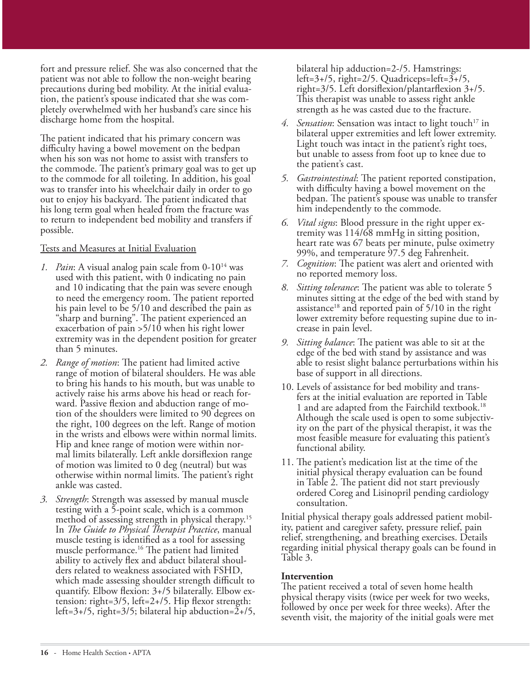fort and pressure relief. She was also concerned that the patient was not able to follow the non-weight bearing precautions during bed mobility. At the initial evaluation, the patient's spouse indicated that she was completely overwhelmed with her husband's care since his discharge home from the hospital.

The patient indicated that his primary concern was difficulty having a bowel movement on the bedpan when his son was not home to assist with transfers to the commode. The patient's primary goal was to get up to the commode for all toileting. In addition, his goal was to transfer into his wheelchair daily in order to go out to enjoy his backyard. The patient indicated that his long term goal when healed from the fracture was to return to independent bed mobility and transfers if possible.

#### Tests and Measures at Initial Evaluation

- *1. Pain*: A visual analog pain scale from 0-10<sup>14</sup> was used with this patient, with 0 indicating no pain and 10 indicating that the pain was severe enough to need the emergency room. The patient reported his pain level to be 5/10 and described the pain as "sharp and burning". The patient experienced an exacerbation of pain >5/10 when his right lower extremity was in the dependent position for greater than 5 minutes.
- *2. Range of motion*: The patient had limited active range of motion of bilateral shoulders. He was able to bring his hands to his mouth, but was unable to actively raise his arms above his head or reach forward. Passive flexion and abduction range of motion of the shoulders were limited to 90 degrees on the right, 100 degrees on the left. Range of motion in the wrists and elbows were within normal limits. Hip and knee range of motion were within normal limits bilaterally. Left ankle dorsiflexion range of motion was limited to 0 deg (neutral) but was otherwise within normal limits. The patient's right ankle was casted.
- *3. Strength*: Strength was assessed by manual muscle testing with a 5-point scale, which is a common method of assessing strength in physical therapy.15 In *The Guide to Physical Therapist Practice*, manual muscle testing is identified as a tool for assessing muscle performance.16 The patient had limited ability to actively flex and abduct bilateral shoulders related to weakness associated with FSHD, which made assessing shoulder strength difficult to quantify. Elbow flexion: 3+/5 bilaterally. Elbow extension: right=3/5, left=2+/5. Hip flexor strength: left=3+/5, right=3/5; bilateral hip abduction=2+/5,

bilateral hip adduction=2-/5. Hamstrings: left=3+/5, right=2/5. Quadriceps=left=3+/5, right=3/5. Left dorsiflexion/plantarflexion 3+/5. This therapist was unable to assess right ankle strength as he was casted due to the fracture.

- 4. Sensation: Sensation was intact to light touch<sup>17</sup> in bilateral upper extremities and left lower extremity. Light touch was intact in the patient's right toes, but unable to assess from foot up to knee due to the patient's cast.
- *5. Gastrointestinal*: The patient reported constipation, with difficulty having a bowel movement on the bedpan. The patient's spouse was unable to transfer him independently to the commode.
- *6. Vital signs*: Blood pressure in the right upper extremity was 114/68 mmHg in sitting position, heart rate was 67 beats per minute, pulse oximetry 99%, and temperature 97.5 deg Fahrenheit.
- *7. Cognition*: The patient was alert and oriented with no reported memory loss.
- *8. Sitting tolerance*: The patient was able to tolerate 5 minutes sitting at the edge of the bed with stand by assistance<sup>18</sup> and reported pain of  $5/10$  in the right lower extremity before requesting supine due to increase in pain level.
- *9. Sitting balance*: The patient was able to sit at the edge of the bed with stand by assistance and was able to resist slight balance perturbations within his base of support in all directions.
- 10. Levels of assistance for bed mobility and transfers at the initial evaluation are reported in Table 1 and are adapted from the Fairchild textbook.18 Although the scale used is open to some subjectivity on the part of the physical therapist, it was the most feasible measure for evaluating this patient's functional ability.
- 11. The patient's medication list at the time of the initial physical therapy evaluation can be found in Table 2. The patient did not start previously ordered Coreg and Lisinopril pending cardiology consultation.

Initial physical therapy goals addressed patient mobility, patient and caregiver safety, pressure relief, pain relief, strengthening, and breathing exercises. Details regarding initial physical therapy goals can be found in Table 3.

#### **Intervention**

The patient received a total of seven home health physical therapy visits (twice per week for two weeks, followed by once per week for three weeks). After the seventh visit, the majority of the initial goals were met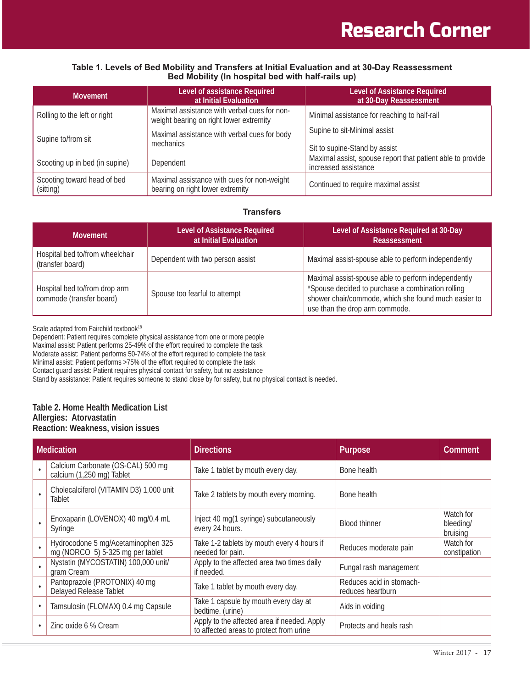#### Table 1. Levels of Bed Mobility and Transfers at Initial Evaluation and at 30-Day Reassessment **Bed Mobility (In hospital bed with half-rails up)**

| <b>Movement</b>                          | Level of assistance Required<br>at Initial Evaluation                                   | <b>Level of Assistance Required</b><br>at 30-Day Reassessment                      |
|------------------------------------------|-----------------------------------------------------------------------------------------|------------------------------------------------------------------------------------|
| Rolling to the left or right             | Maximal assistance with verbal cues for non-<br>weight bearing on right lower extremity | Minimal assistance for reaching to half-rail                                       |
| Supine to/from sit                       | Maximal assistance with verbal cues for body<br>mechanics                               | Supine to sit-Minimal assist<br>Sit to supine-Stand by assist                      |
| Scooting up in bed (in supine)           | Dependent                                                                               | Maximal assist, spouse report that patient able to provide<br>increased assistance |
| Scooting toward head of bed<br>(sitting) | Maximal assistance with cues for non-weight<br>bearing on right lower extremity         | Continued to require maximal assist                                                |

#### **Transfers**

| <b>Movement</b>                                           | Level of Assistance Required<br>at Initial Evaluation | Level of Assistance Required at 30-Day<br>Reassessment                                                                                                                                             |
|-----------------------------------------------------------|-------------------------------------------------------|----------------------------------------------------------------------------------------------------------------------------------------------------------------------------------------------------|
| Hospital bed to/from wheelchair<br>(transfer board)       | Dependent with two person assist                      | Maximal assist-spouse able to perform independently                                                                                                                                                |
| Hospital bed to/from drop arm<br>commode (transfer board) | Spouse too fearful to attempt                         | Maximal assist-spouse able to perform independently<br>*Spouse decided to purchase a combination rolling<br>shower chair/commode, which she found much easier to<br>use than the drop arm commode. |

Scale adapted from Fairchild textbook<sup>18</sup>

Dependent: Patient requires complete physical assistance from one or more people

Maximal assist: Patient performs 25-49% of the effort required to complete the task

Moderate assist: Patient performs 50-74% of the effort required to complete the task

Minimal assist: Patient performs >75% of the effort required to complete the task

Contact guard assist: Patient requires physical contact for safety, but no assistance

Stand by assistance: Patient requires someone to stand close by for safety, but no physical contact is needed.

#### **Table 2. Home Health Medication List Allergies: Atorvastatin**

#### **Reaction: Weakness, vision issues**

|           | <b>Medication</b>                                                      | <b>Directions</b>                                                                      | Purpose                                       | Comment                            |
|-----------|------------------------------------------------------------------------|----------------------------------------------------------------------------------------|-----------------------------------------------|------------------------------------|
|           | Calcium Carbonate (OS-CAL) 500 mg<br>calcium (1,250 mg) Tablet         | Take 1 tablet by mouth every day.                                                      | Bone health                                   |                                    |
|           | Cholecalciferol (VITAMIN D3) 1,000 unit<br>Tablet                      | Take 2 tablets by mouth every morning.                                                 | Bone health                                   |                                    |
|           | Enoxaparin (LOVENOX) 40 mg/0.4 mL<br>Syringe                           | Inject 40 mg(1 syringe) subcutaneously<br>every 24 hours.                              | <b>Blood thinner</b>                          | Watch for<br>bleeding/<br>bruising |
|           | Hydrocodone 5 mg/Acetaminophen 325<br>mg (NORCO 5) 5-325 mg per tablet | Take 1-2 tablets by mouth every 4 hours if<br>needed for pain.                         | Reduces moderate pain                         | Watch for<br>constipation          |
|           | Nystatin (MYCOSTATIN) 100,000 unit/<br>gram Cream                      | Apply to the affected area two times daily<br>if needed.                               | Fungal rash management                        |                                    |
| $\bullet$ | Pantoprazole (PROTONIX) 40 mg<br>Delayed Release Tablet                | Take 1 tablet by mouth every day.                                                      | Reduces acid in stomach-<br>reduces heartburn |                                    |
|           | Tamsulosin (FLOMAX) 0.4 mg Capsule                                     | Take 1 capsule by mouth every day at<br>bedtime. (urine)                               | Aids in voiding                               |                                    |
|           | Zinc oxide 6 % Cream                                                   | Apply to the affected area if needed. Apply<br>to affected areas to protect from urine | Protects and heals rash                       |                                    |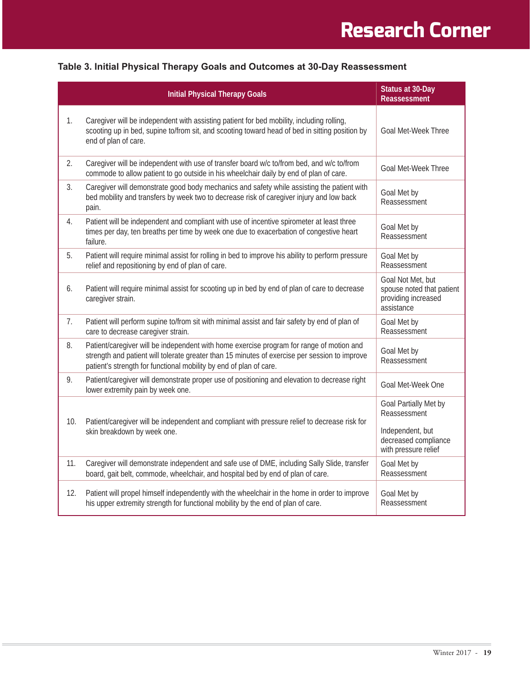|     | <b>Initial Physical Therapy Goals</b>                                                                                                                                                                                                                           | Status at 30-Day<br><b>Reassessment</b>                                             |
|-----|-----------------------------------------------------------------------------------------------------------------------------------------------------------------------------------------------------------------------------------------------------------------|-------------------------------------------------------------------------------------|
| 1.  | Caregiver will be independent with assisting patient for bed mobility, including rolling,<br>scooting up in bed, supine to/from sit, and scooting toward head of bed in sitting position by<br>end of plan of care.                                             | <b>Goal Met-Week Three</b>                                                          |
| 2.  | Caregiver will be independent with use of transfer board w/c to/from bed, and w/c to/from<br>commode to allow patient to go outside in his wheelchair daily by end of plan of care.                                                                             | <b>Goal Met-Week Three</b>                                                          |
| 3.  | Caregiver will demonstrate good body mechanics and safety while assisting the patient with<br>bed mobility and transfers by week two to decrease risk of caregiver injury and low back<br>pain.                                                                 | Goal Met by<br>Reassessment                                                         |
| 4.  | Patient will be independent and compliant with use of incentive spirometer at least three<br>times per day, ten breaths per time by week one due to exacerbation of congestive heart<br>failure.                                                                | Goal Met by<br>Reassessment                                                         |
| 5.  | Patient will require minimal assist for rolling in bed to improve his ability to perform pressure<br>relief and repositioning by end of plan of care.                                                                                                           | Goal Met by<br>Reassessment                                                         |
| 6.  | Patient will require minimal assist for scooting up in bed by end of plan of care to decrease<br>caregiver strain.                                                                                                                                              | Goal Not Met, but<br>spouse noted that patient<br>providing increased<br>assistance |
| 7.  | Patient will perform supine to/from sit with minimal assist and fair safety by end of plan of<br>care to decrease caregiver strain.                                                                                                                             | Goal Met by<br>Reassessment                                                         |
| 8.  | Patient/caregiver will be independent with home exercise program for range of motion and<br>strength and patient will tolerate greater than 15 minutes of exercise per session to improve<br>patient's strength for functional mobility by end of plan of care. | Goal Met by<br>Reassessment                                                         |
| 9.  | Patient/caregiver will demonstrate proper use of positioning and elevation to decrease right<br>lower extremity pain by week one.                                                                                                                               | Goal Met-Week One                                                                   |
| 10. | Patient/caregiver will be independent and compliant with pressure relief to decrease risk for                                                                                                                                                                   | Goal Partially Met by<br>Reassessment                                               |
|     | skin breakdown by week one.                                                                                                                                                                                                                                     | Independent, but<br>decreased compliance<br>with pressure relief                    |
| 11. | Caregiver will demonstrate independent and safe use of DME, including Sally Slide, transfer<br>board, gait belt, commode, wheelchair, and hospital bed by end of plan of care.                                                                                  | Goal Met by<br>Reassessment                                                         |
| 12. | Patient will propel himself independently with the wheelchair in the home in order to improve<br>his upper extremity strength for functional mobility by the end of plan of care.                                                                               | Goal Met by<br>Reassessment                                                         |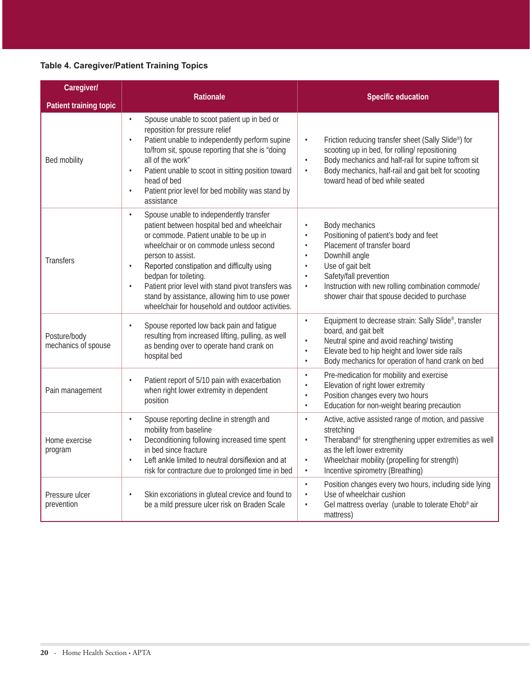### **Table 4. Caregiver/Patient Training Topics**

| Caregiver/                          | Rationale                                                                                                                                                                                                                                                                                                                                                                                                                                                                 | <b>Specific education</b>                                                                                                                                                                                                                                                                                                                               |
|-------------------------------------|---------------------------------------------------------------------------------------------------------------------------------------------------------------------------------------------------------------------------------------------------------------------------------------------------------------------------------------------------------------------------------------------------------------------------------------------------------------------------|---------------------------------------------------------------------------------------------------------------------------------------------------------------------------------------------------------------------------------------------------------------------------------------------------------------------------------------------------------|
| Patient training topic              |                                                                                                                                                                                                                                                                                                                                                                                                                                                                           |                                                                                                                                                                                                                                                                                                                                                         |
| Bed mobility                        | Spouse unable to scoot patient up in bed or<br>$\bullet$<br>reposition for pressure relief<br>Patient unable to independently perform supine<br>$\bullet$<br>to/from sit, spouse reporting that she is "doing<br>all of the work"<br>Patient unable to scoot in sitting position toward<br>$\bullet$<br>head of bed<br>Patient prior level for bed mobility was stand by<br>$\bullet$<br>assistance                                                                       | Friction reducing transfer sheet (Sally Slide®) for<br>$\bullet$<br>scooting up in bed, for rolling/ repositioning<br>Body mechanics and half-rail for supine to/from sit<br>$\bullet$<br>Body mechanics, half-rail and gait belt for scooting<br>$\bullet$<br>toward head of bed while seated                                                          |
| <b>Transfers</b>                    | Spouse unable to independently transfer<br>$\bullet$<br>patient between hospital bed and wheelchair<br>or commode. Patient unable to be up in<br>wheelchair or on commode unless second<br>person to assist.<br>Reported constipation and difficulty using<br>$\bullet$<br>bedpan for toileting.<br>Patient prior level with stand pivot transfers was<br>$\bullet$<br>stand by assistance, allowing him to use power<br>wheelchair for household and outdoor activities. | Body mechanics<br>$\bullet$<br>Positioning of patient's body and feet<br>$\bullet$<br>Placement of transfer board<br>$\bullet$<br>Downhill angle<br>$\bullet$<br>Use of gait belt<br>$\bullet$<br>Safety/fall prevention<br>$\bullet$<br>Instruction with new rolling combination commode/<br>$\bullet$<br>shower chair that spouse decided to purchase |
| Posture/body<br>mechanics of spouse | Spouse reported low back pain and fatigue<br>$\bullet$<br>resulting from increased lifting, pulling, as well<br>as bending over to operate hand crank on<br>hospital bed                                                                                                                                                                                                                                                                                                  | Equipment to decrease strain: Sally Slide®, transfer<br>$\bullet$<br>board, and gait belt<br>Neutral spine and avoid reaching/ twisting<br>$\bullet$<br>Elevate bed to hip height and lower side rails<br>$\bullet$<br>Body mechanics for operation of hand crank on bed<br>$\bullet$                                                                   |
| Pain management                     | Patient report of 5/10 pain with exacerbation<br>when right lower extremity in dependent<br>position                                                                                                                                                                                                                                                                                                                                                                      | Pre-medication for mobility and exercise<br>$\bullet$<br>Elevation of right lower extremity<br>$\bullet$<br>Position changes every two hours<br>$\bullet$<br>Education for non-weight bearing precaution<br>$\bullet$                                                                                                                                   |
| Home exercise<br>program            | Spouse reporting decline in strength and<br>$\bullet$<br>mobility from baseline<br>Deconditioning following increased time spent<br>$\bullet$<br>in bed since fracture<br>Left ankle limited to neutral dorsiflexion and at<br>$\bullet$<br>risk for contracture due to prolonged time in bed                                                                                                                                                                             | Active, active assisted range of motion, and passive<br>$\bullet$<br>stretching<br>Theraband® for strengthening upper extremities as well<br>$\bullet$<br>as the left lower extremity<br>Wheelchair mobility (propelling for strength)<br>$\bullet$<br>Incentive spirometry (Breathing)<br>$\bullet$                                                    |
| Pressure ulcer<br>prevention        | Skin excoriations in gluteal crevice and found to<br>$\bullet$<br>be a mild pressure ulcer risk on Braden Scale                                                                                                                                                                                                                                                                                                                                                           | Position changes every two hours, including side lying<br>$\bullet$<br>Use of wheelchair cushion<br>$\bullet$<br>Gel mattress overlay (unable to tolerate Ehob® air<br>$\bullet$<br>mattress)                                                                                                                                                           |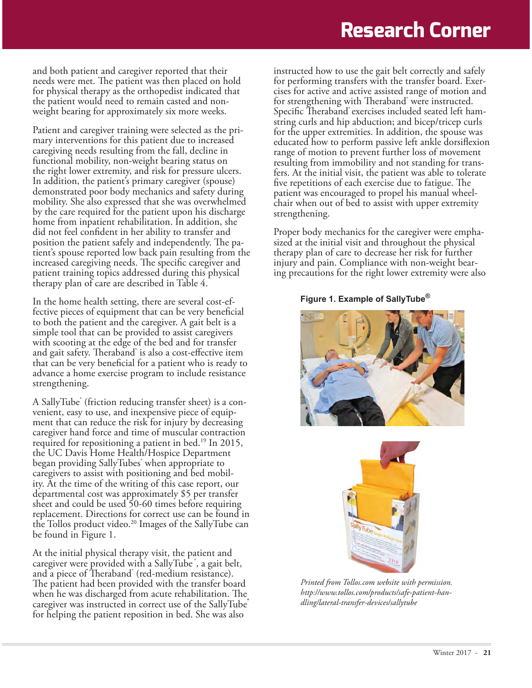# **Research Corner**

and both patient and caregiver reported that their needs were met. The patient was then placed on hold for physical therapy as the orthopedist indicated that the patient would need to remain casted and nonweight bearing for approximately six more weeks.

Patient and caregiver training were selected as the primary interventions for this patient due to increased caregiving needs resulting from the fall, decline in functional mobility, non-weight bearing status on the right lower extremity, and risk for pressure ulcers. In addition, the patient's primary caregiver (spouse) demonstrated poor body mechanics and safety during mobility. She also expressed that she was overwhelmed by the care required for the patient upon his discharge home from inpatient rehabilitation. In addition, she did not feel confident in her ability to transfer and position the patient safely and independently. The patient's spouse reported low back pain resulting from the increased caregiving needs. The specific caregiver and patient training topics addressed during this physical therapy plan of care are described in Table 4.

In the home health setting, there are several cost-effective pieces of equipment that can be very beneficial to both the patient and the caregiver. A gait belt is a simple tool that can be provided to assist caregivers with scooting at the edge of the bed and for transfer and gait safety. Theraband® is also a cost-effective item that can be very beneficial for a patient who is ready to advance a home exercise program to include resistance strengthening.

A SallyTube<sup>®</sup> (friction reducing transfer sheet) is a convenient, easy to use, and inexpensive piece of equipment that can reduce the risk for injury by decreasing caregiver hand force and time of muscular contraction required for repositioning a patient in bed.<sup>19</sup> In 2015, the UC Davis Home Health/Hospice Department began providing SallyTubes<sup>\*</sup> when appropriate to caregivers to assist with positioning and bed mobility. At the time of the writing of this case report, our departmental cost was approximately \$5 per transfer sheet and could be used 50-60 times before requiring replacement. Directions for correct use can be found in the Tollos product video.<sup>20</sup> Images of the SallyTube can be found in Figure 1.

At the initial physical therapy visit, the patient and caregiver were provided with a SallyTube', a gait belt, and a piece of Theraband® (red-medium resistance). The patient had been provided with the transfer board when he was discharged from acute rehabilitation. The caregiver was instructed in correct use of the SallyTube for helping the patient reposition in bed. She was also

instructed how to use the gait belt correctly and safely for performing transfers with the transfer board. Exercises for active and active assisted range of motion and for strengthening with Theraband<sup>®</sup> were instructed. Specific Theraband<sup>®</sup> exercises included seated left hamstring curls and hip abduction; and bicep/tricep curls for the upper extremities. In addition, the spouse was educated how to perform passive left ankle dorsiflexion range of motion to prevent further loss of movement resulting from immobility and not standing for transfers. At the initial visit, the patient was able to tolerate five repetitions of each exercise due to fatigue. The patient was encouraged to propel his manual wheelchair when out of bed to assist with upper extremity strengthening.

Proper body mechanics for the caregiver were emphasized at the initial visit and throughout the physical therapy plan of care to decrease her risk for further injury and pain. Compliance with non-weight bearing precautions for the right lower extremity were also

#### **Figure 1. Example of SallyTube®**





*Printed from Tollos.com website with permission. http://www.tollos.com/products/safe-patient-handling/lateral-transfer-devices/sallytube*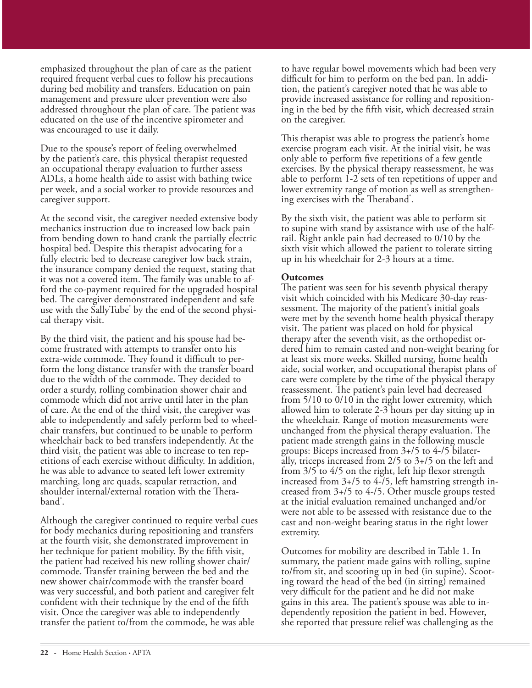emphasized throughout the plan of care as the patient required frequent verbal cues to follow his precautions during bed mobility and transfers. Education on pain management and pressure ulcer prevention were also addressed throughout the plan of care. The patient was educated on the use of the incentive spirometer and was encouraged to use it daily.

Due to the spouse's report of feeling overwhelmed by the patient's care, this physical therapist requested an occupational therapy evaluation to further assess ADLs, a home health aide to assist with bathing twice per week, and a social worker to provide resources and caregiver support.

At the second visit, the caregiver needed extensive body mechanics instruction due to increased low back pain from bending down to hand crank the partially electric hospital bed. Despite this therapist advocating for a fully electric bed to decrease caregiver low back strain, the insurance company denied the request, stating that it was not a covered item. The family was unable to afford the co-payment required for the upgraded hospital bed. The caregiver demonstrated independent and safe use with the SallyTube<sup>®</sup> by the end of the second physical therapy visit.

By the third visit, the patient and his spouse had become frustrated with attempts to transfer onto his extra-wide commode. They found it difficult to perform the long distance transfer with the transfer board due to the width of the commode. They decided to order a sturdy, rolling combination shower chair and commode which did not arrive until later in the plan of care. At the end of the third visit, the caregiver was able to independently and safely perform bed to wheelchair transfers, but continued to be unable to perform wheelchair back to bed transfers independently. At the third visit, the patient was able to increase to ten repetitions of each exercise without difficulty. In addition, he was able to advance to seated left lower extremity marching, long arc quads, scapular retraction, and shoulder internal/external rotation with the Theraband<sup>\*</sup>.

Although the caregiver continued to require verbal cues for body mechanics during repositioning and transfers at the fourth visit, she demonstrated improvement in her technique for patient mobility. By the fifth visit, the patient had received his new rolling shower chair/ commode. Transfer training between the bed and the new shower chair/commode with the transfer board was very successful, and both patient and caregiver felt confident with their technique by the end of the fifth visit. Once the caregiver was able to independently transfer the patient to/from the commode, he was able

to have regular bowel movements which had been very difficult for him to perform on the bed pan. In addition, the patient's caregiver noted that he was able to provide increased assistance for rolling and repositioning in the bed by the fifth visit, which decreased strain on the caregiver.

This therapist was able to progress the patient's home exercise program each visit. At the initial visit, he was only able to perform five repetitions of a few gentle exercises. By the physical therapy reassessment, he was able to perform 1-2 sets of ten repetitions of upper and lower extremity range of motion as well as strengthening exercises with the Theraband<sup>®</sup>.

By the sixth visit, the patient was able to perform sit to supine with stand by assistance with use of the halfrail. Right ankle pain had decreased to 0/10 by the sixth visit which allowed the patient to tolerate sitting up in his wheelchair for 2-3 hours at a time.

#### **Outcomes**

The patient was seen for his seventh physical therapy visit which coincided with his Medicare 30-day reassessment. The majority of the patient's initial goals were met by the seventh home health physical therapy visit. The patient was placed on hold for physical therapy after the seventh visit, as the orthopedist ordered him to remain casted and non-weight bearing for at least six more weeks. Skilled nursing, home health aide, social worker, and occupational therapist plans of care were complete by the time of the physical therapy reassessment. The patient's pain level had decreased from 5/10 to 0/10 in the right lower extremity, which allowed him to tolerate 2-3 hours per day sitting up in the wheelchair. Range of motion measurements were unchanged from the physical therapy evaluation. The patient made strength gains in the following muscle groups: Biceps increased from 3+/5 to 4-/5 bilaterally, triceps increased from 2/5 to 3+/5 on the left and from 3/5 to 4/5 on the right, left hip flexor strength increased from 3+/5 to 4-/5, left hamstring strength increased from 3+/5 to 4-/5. Other muscle groups tested at the initial evaluation remained unchanged and/or were not able to be assessed with resistance due to the cast and non-weight bearing status in the right lower extremity.

Outcomes for mobility are described in Table 1. In summary, the patient made gains with rolling, supine to/from sit, and scooting up in bed (in supine). Scooting toward the head of the bed (in sitting) remained very difficult for the patient and he did not make gains in this area. The patient's spouse was able to independently reposition the patient in bed. However, she reported that pressure relief was challenging as the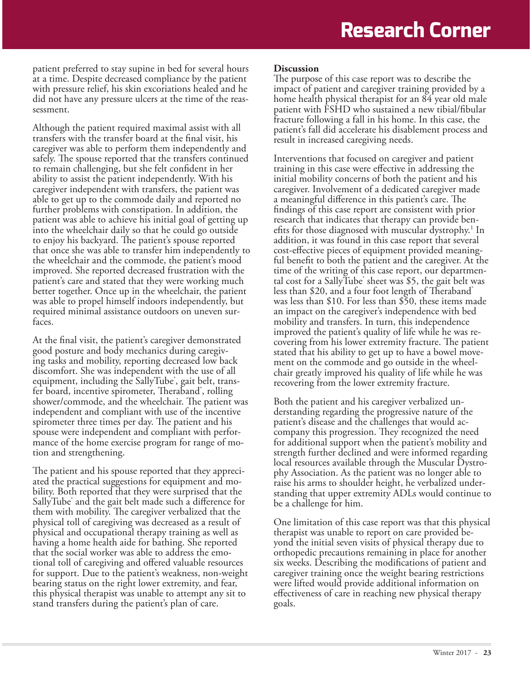patient preferred to stay supine in bed for several hours at a time. Despite decreased compliance by the patient with pressure relief, his skin excoriations healed and he did not have any pressure ulcers at the time of the reassessment.

Although the patient required maximal assist with all transfers with the transfer board at the final visit, his caregiver was able to perform them independently and safely. The spouse reported that the transfers continued to remain challenging, but she felt confident in her ability to assist the patient independently. With his caregiver independent with transfers, the patient was able to get up to the commode daily and reported no further problems with constipation. In addition, the patient was able to achieve his initial goal of getting up into the wheelchair daily so that he could go outside to enjoy his backyard. The patient's spouse reported that once she was able to transfer him independently to the wheelchair and the commode, the patient's mood improved. She reported decreased frustration with the patient's care and stated that they were working much better together. Once up in the wheelchair, the patient was able to propel himself indoors independently, but required minimal assistance outdoors on uneven surfaces.

At the final visit, the patient's caregiver demonstrated good posture and body mechanics during caregiving tasks and mobility, reporting decreased low back discomfort. She was independent with the use of all equipment, including the SallyTube<sup>\*</sup>, gait belt, transfer board, incentive spirometer, Theraband<sup>®</sup>, rolling shower/commode, and the wheelchair. The patient was independent and compliant with use of the incentive spirometer three times per day. The patient and his spouse were independent and compliant with performance of the home exercise program for range of motion and strengthening.

The patient and his spouse reported that they appreciated the practical suggestions for equipment and mobility. Both reported that they were surprised that the SallyTube® and the gait belt made such a difference for them with mobility. The caregiver verbalized that the physical toll of caregiving was decreased as a result of physical and occupational therapy training as well as having a home health aide for bathing. She reported that the social worker was able to address the emotional toll of caregiving and offered valuable resources for support. Due to the patient's weakness, non-weight bearing status on the right lower extremity, and fear, this physical therapist was unable to attempt any sit to stand transfers during the patient's plan of care.

#### **Discussion**

The purpose of this case report was to describe the impact of patient and caregiver training provided by a home health physical therapist for an 84 year old male patient with FSHD who sustained a new tibial/fibular fracture following a fall in his home. In this case, the patient's fall did accelerate his disablement process and result in increased caregiving needs.

Interventions that focused on caregiver and patient training in this case were effective in addressing the initial mobility concerns of both the patient and his caregiver. Involvement of a dedicated caregiver made a meaningful difference in this patient's care. The findings of this case report are consistent with prior research that indicates that therapy can provide benefits for those diagnosed with muscular dystrophy.<sup>1</sup> In addition, it was found in this case report that several cost-effective pieces of equipment provided meaningful benefit to both the patient and the caregiver. At the time of the writing of this case report, our departmental cost for a SallyTube<sup>\*</sup> sheet was \$5, the gait belt was less than \$20, and a four foot length of Theraband<sup>®</sup> was less than \$10. For less than \$50, these items made an impact on the caregiver's independence with bed mobility and transfers. In turn, this independence improved the patient's quality of life while he was recovering from his lower extremity fracture. The patient stated that his ability to get up to have a bowel movement on the commode and go outside in the wheelchair greatly improved his quality of life while he was recovering from the lower extremity fracture.

Both the patient and his caregiver verbalized understanding regarding the progressive nature of the patient's disease and the challenges that would accompany this progression. They recognized the need for additional support when the patient's mobility and strength further declined and were informed regarding local resources available through the Muscular Dystrophy Association. As the patient was no longer able to raise his arms to shoulder height, he verbalized understanding that upper extremity ADLs would continue to be a challenge for him.

One limitation of this case report was that this physical therapist was unable to report on care provided beyond the initial seven visits of physical therapy due to orthopedic precautions remaining in place for another six weeks. Describing the modifications of patient and caregiver training once the weight bearing restrictions were lifted would provide additional information on effectiveness of care in reaching new physical therapy goals.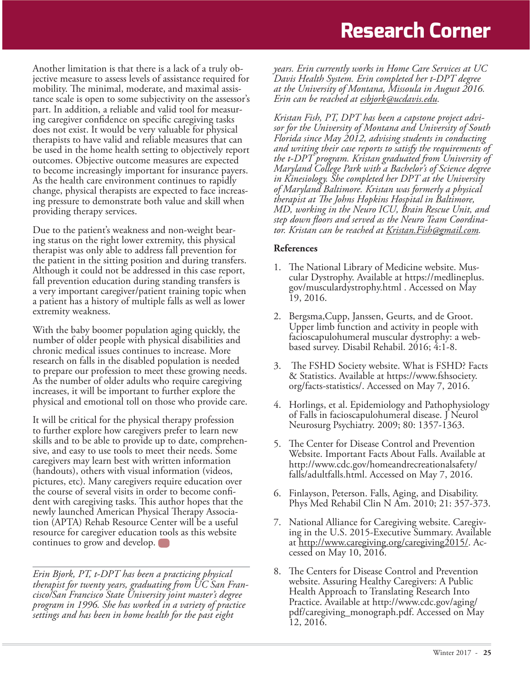Another limitation is that there is a lack of a truly objective measure to assess levels of assistance required for mobility. The minimal, moderate, and maximal assistance scale is open to some subjectivity on the assessor's part. In addition, a reliable and valid tool for measuring caregiver confidence on specific caregiving tasks does not exist. It would be very valuable for physical therapists to have valid and reliable measures that can be used in the home health setting to objectively report outcomes. Objective outcome measures are expected to become increasingly important for insurance payers. As the health care environment continues to rapidly change, physical therapists are expected to face increasing pressure to demonstrate both value and skill when providing therapy services.

Due to the patient's weakness and non-weight bearing status on the right lower extremity, this physical therapist was only able to address fall prevention for the patient in the sitting position and during transfers. Although it could not be addressed in this case report, fall prevention education during standing transfers is a very important caregiver/patient training topic when a patient has a history of multiple falls as well as lower extremity weakness.

With the baby boomer population aging quickly, the number of older people with physical disabilities and chronic medical issues continues to increase. More research on falls in the disabled population is needed to prepare our profession to meet these growing needs. As the number of older adults who require caregiving increases, it will be important to further explore the physical and emotional toll on those who provide care.

It will be critical for the physical therapy profession to further explore how caregivers prefer to learn new skills and to be able to provide up to date, comprehensive, and easy to use tools to meet their needs. Some caregivers may learn best with written information (handouts), others with visual information (videos, pictures, etc). Many caregivers require education over the course of several visits in order to become confident with caregiving tasks. This author hopes that the newly launched American Physical Therapy Association (APTA) Rehab Resource Center will be a useful resource for caregiver education tools as this website continues to grow and develop.

*Erin Bjork, PT, t-DPT has been a practicing physical therapist for twenty years, graduating from UC San Francisco/San Francisco State University joint master's degree program in 1996. She has worked in a variety of practice settings and has been in home health for the past eight* 

*years. Erin currently works in Home Care Services at UC Davis Health System. Erin completed her t-DPT degree at the University of Montana, Missoula in August 2016. Erin can be reached at esbjork@ucdavis.edu.*

*Kristan Fish, PT, DPT has been a capstone project advisor for the University of Montana and University of South Florida since May 2012, advising students in conducting and writing their case reports to satisfy the requirements of the t-DPT program. Kristan graduated from University of Maryland College Park with a Bachelor's of Science degree in Kinesiology. She completed her DPT at the University of Maryland Baltimore. Kristan was formerly a physical therapist at The Johns Hopkins Hospital in Baltimore, MD, working in the Neuro ICU, Brain Rescue Unit, and step down floors and served as the Neuro Team Coordinator. Kristan can be reached at Kristan.Fish@gmail.com.*

#### **References**

- 1. The National Library of Medicine website. Muscular Dystrophy. Available at https://medlineplus. gov/musculardystrophy.html . Accessed on May 19, 2016.
- 2. Bergsma,Cupp, Janssen, Geurts, and de Groot. Upper limb function and activity in people with facioscapulohumeral muscular dystrophy: a webbased survey. Disabil Rehabil. 2016; 4:1-8.
- 3. The FSHD Society website. What is FSHD? Facts & Statistics. Available at https://www.fshsociety. org/facts-statistics/. Accessed on May 7, 2016.
- 4. Horlings, et al. Epidemiology and Pathophysiology of Falls in facioscapulohumeral disease. J Neurol Neurosurg Psychiatry. 2009; 80: 1357-1363.
- 5. The Center for Disease Control and Prevention Website. Important Facts About Falls. Available at http://www.cdc.gov/homeandrecreationalsafety/ falls/adultfalls.html. Accessed on May 7, 2016.
- 6. Finlayson, Peterson. Falls, Aging, and Disability. Phys Med Rehabil Clin N Am. 2010; 21: 357-373.
- 7. National Alliance for Caregiving website. Caregiving in the U.S. 2015-Executive Summary. Available at http://www.caregiving.org/caregiving2015/. Accessed on May 10, 2016.
- 8. The Centers for Disease Control and Prevention website. Assuring Healthy Caregivers: A Public Health Approach to Translating Research Into Practice. Available at http://www.cdc.gov/aging/ pdf/caregiving\_monograph.pdf. Accessed on May  $\bar{1}2, 201\bar{6}.$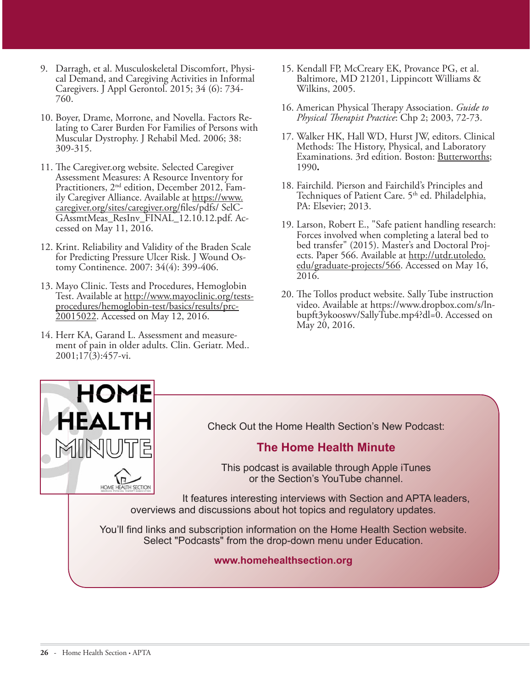- 9. Darragh, et al. Musculoskeletal Discomfort, Physical Demand, and Caregiving Activities in Informal Caregivers. J Appl Gerontol. 2015; 34 (6): 734- 760.
- 10. Boyer, Drame, Morrone, and Novella. Factors Relating to Carer Burden For Families of Persons with Muscular Dystrophy. J Rehabil Med. 2006; 38: 309-315.
- 11. The Caregiver.org website. Selected Caregiver Assessment Measures: A Resource Inventory for Practitioners, 2nd edition, December 2012, Family Caregiver Alliance. Available at https://www. caregiver.org/sites/caregiver.org/files/pdfs/ SelC-GAssmtMeas\_ResInv\_FINAL\_12.10.12.pdf. Accessed on May 11, 2016.
- 12. Krint. Reliability and Validity of the Braden Scale for Predicting Pressure Ulcer Risk. J Wound Ostomy Continence. 2007: 34(4): 399-406.
- 13. Mayo Clinic. Tests and Procedures, Hemoglobin Test. Available at http://www.mayoclinic.org/testsprocedures/hemoglobin-test/basics/results/prc-20015022. Accessed on May 12, 2016.
- 14. Herr KA, Garand L. Assessment and measurement of pain in older adults. Clin. Geriatr. Med.. 2001;17(3):457-vi.
- 15. Kendall FP, McCreary EK, Provance PG, et al. Baltimore, MD 21201, Lippincott Williams & Wilkins, 2005.
- 16. American Physical Therapy Association. *Guide to Physical Therapist Practice*: Chp 2; 2003, 72-73.
- 17. Walker HK, Hall WD, Hurst JW, editors. Clinical Methods: The History, Physical, and Laboratory Examinations. 3rd edition. Boston: Butterworths; 1990**.**
- 18. Fairchild. Pierson and Fairchild's Principles and Techniques of Patient Care. 5<sup>th</sup> ed. Philadelphia, PA: Elsevier; 2013.
- 19. Larson, Robert E., "Safe patient handling research: Forces involved when completing a lateral bed to bed transfer" (2015). Master's and Doctoral Projects. Paper 566. Available at http://utdr.utoledo. edu/graduate-projects/566. Accessed on May 16, 2016.
- 20. The Tollos product website. Sally Tube instruction video. Available at https://www.dropbox.com/s/lnbupft3ykooswv/SallyTube.mp4?dl=0. Accessed on May 20, 2016.



Check Out the Home Health Section's New Podcast:

### **The Home Health Minute**

This podcast is available through Apple iTunes or the Section's YouTube channel.

It features interesting interviews with Section and APTA leaders, overviews and discussions about hot topics and regulatory updates.

You'll find links and subscription information on the Home Health Section website. Select "Podcasts" from the drop-down menu under Education.

#### **www.homehealthsection.org**